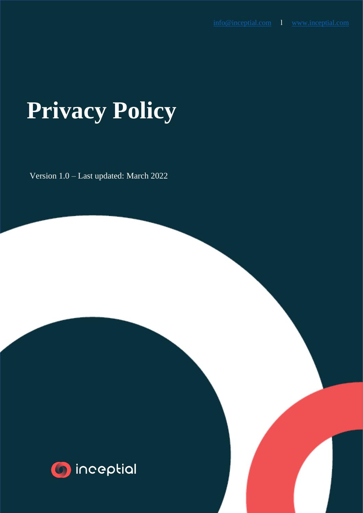# **Privacy Policy**

Version 1.0 – Last updated: March 2022

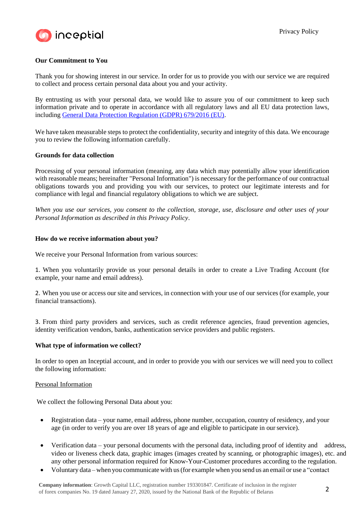

## **Our Commitment to You**

Thank you for showing interest in our service. In order for us to provide you with our service we are required to collect and process certain personal data about you and your activity.

By entrusting us with your personal data, we would like to assure you of our commitment to keep such information private and to operate in accordance with all regulatory laws and all EU data protection laws, including [General Data Protection Regulation \(GDPR\) 679/2016 \(EU\).](https://eur-lex.europa.eu/legal-content/EN/TXT/PDF/?uri=CELEX%3A32016R0679)

We have taken measurable steps to protect the confidentiality, security and integrity of this data. We encourage you to review the following information carefully.

#### **Grounds for data collection**

Processing of your personal information (meaning, any data which may potentially allow your identification with reasonable means; hereinafter "Personal Information") is necessary for the performance of our contractual obligations towards you and providing you with our services, to protect our legitimate interests and for compliance with legal and financial regulatory obligations to which we are subject.

*When you use our services, you consent to the collection, storage, use, disclosure and other uses of your Personal Information as described in this Privacy Policy*.

#### **How do we receive information about you?**

We receive your Personal Information from various sources:

1. When you voluntarily provide us your personal details in order to create a Live Trading Account (for example, your name and email address).

2. When you use or access our site and services, in connection with your use of our services (for example, your financial transactions).

3. From third party providers and services, such as credit reference agencies, fraud prevention agencies, identity verification vendors, banks, authentication service providers and public registers.

#### **What type of information we collect?**

In order to open an Inceptial account, and in order to provide you with our services we will need you to collect the following information:

#### Personal Information

We collect the following Personal Data about you:

- Registration data your name, email address, phone number, occupation, country of residency, and your age (in order to verify you are over 18 years of age and eligible to participate in ourservice).
- Verification data your personal documents with the personal data, including proof of identity and address, video or liveness check data, graphic images (images created by scanning, or photographic images), etc. and any other personal information required for Know-Your-Customer procedures according to the regulation.
- Voluntary data when you communicate with us(for example when you send us an email or use a "contact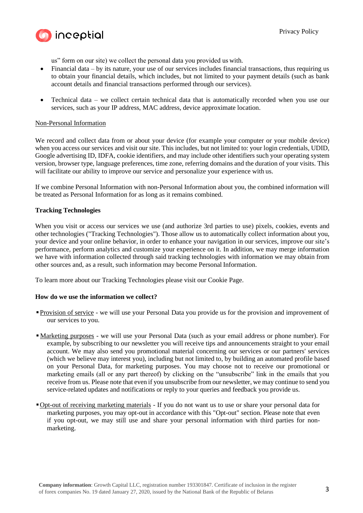

us" form on our site) we collect the personal data you provided us with.

- Financial data by its nature, your use of our services includes financial transactions, thus requiring us to obtain your financial details, which includes, but not limited to your payment details (such as bank account details and financial transactions performed through our services).
- Technical data we collect certain technical data that is automatically recorded when you use our services, such as your IP address, MAC address, device approximate location.

#### Non-Personal Information

We record and collect data from or about your device (for example your computer or your mobile device) when you access our services and visit our site. This includes, but not limited to: your login credentials, UDID, Google advertising ID, IDFA, cookie identifiers, and may include other identifiers such your operating system version, browser type, language preferences, time zone, referring domains and the duration of your visits. This will facilitate our ability to improve our service and personalize your experience with us.

If we combine Personal Information with non-Personal Information about you, the combined information will be treated as Personal Information for as long as it remains combined.

#### **Tracking Technologies**

When you visit or access our services we use (and authorize 3rd parties to use) pixels, cookies, events and other technologies ("Tracking Technologies"). Those allow us to automatically collect information about you, your device and your online behavior, in order to enhance your navigation in our services, improve our site's performance, perform analytics and customize your experience on it. In addition, we may merge information we have with information collected through said tracking technologies with information we may obtain from other sources and, as a result, such information may become Personal Information.

To learn more about our Tracking Technologies please visit our Cookie Page.

#### **How do we use the information we collect?**

- **Provision of service** we will use your Personal Data you provide us for the provision and improvement of our services to you.
- Marketing purposes we will use your Personal Data (such as your email address or phone number). For example, by subscribing to our newsletter you will receive tips and announcements straight to your email account. We may also send you promotional material concerning our services or our partners' services (which we believe may interest you), including but not limited to, by building an automated profile based on your Personal Data, for marketing purposes. You may choose not to receive our promotional or marketing emails (all or any part thereof) by clicking on the "unsubscribe" link in the emails that you receive from us. Please note that even if you unsubscribe from our newsletter, we may continue to send you service-related updates and notifications or reply to your queries and feedback you provide us.
- **•Opt-out of receiving marketing materials** If you do not want us to use or share your personal data for marketing purposes, you may opt-out in accordance with this "Opt-out" section. Please note that even if you opt-out, we may still use and share your personal information with third parties for nonmarketing.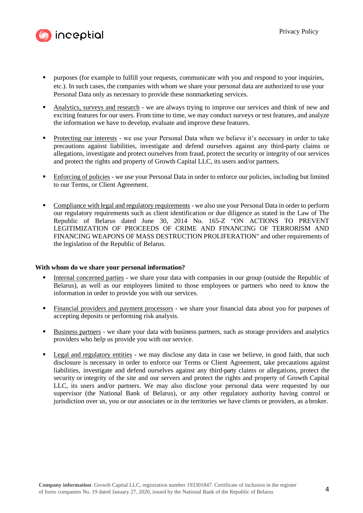

- purposes (for example to fulfill your requests, communicate with you and respond to your inquiries, etc.). In such cases, the companies with whom we share your personal data are authorized to use your Personal Data only as necessary to provide these nonmarketing services.
- Analytics, surveys and research we are always trying to improve our services and think of new and exciting features for our users. From time to time, we may conduct surveys or test features, and analyze the information we have to develop, evaluate and improve these features.
- Protecting our interests we use your Personal Data when we believe it's necessary in order to take precautions against liabilities, investigate and defend ourselves against any third-party claims or allegations, investigate and protect ourselves from fraud, protect the security or integrity of our services and protect the rights and property of Growth Capital LLC, its users and/or partners.
- Enforcing of policies we use your Personal Data in order to enforce our policies, including but limited to our Terms, or Client Agreement.
- Compliance with legal and regulatory requirements we also use your Personal Data in order to perform our regulatory requirements such as client identification or due diligence as stated in the Law of The Republic of Belarus dated June 30, 2014 No. 165-Z "ON ACTIONS TO PREVENT LEGITIMIZATION OF PROCEEDS OF CRIME AND FINANCING OF TERRORISM AND FINANCING WEAPONS OF MASS DESTRUCTION PROLIFERATION" and other requirements of the legislation of the Republic of Belarus.

#### **With whom do we share your personal information?**

- Internal concerned parties we share your data with companies in our group (outside the Republic of Belarus), as well as our employees limited to those employees or partners who need to know the information in order to provide you with our services.
- **Einancial providers and payment processors** we share your financial data about you for purposes of accepting deposits or performing risk analysis.
- Business partners we share your data with business partners, such as storage providers and analytics providers who help us provide you with our service.
- Legal and regulatory entities we may disclose any data in case we believe, in good faith, that such disclosure is necessary in order to enforce our Terms or Client Agreement, take precautions against liabilities, investigate and defend ourselves against any third-party claims or allegations, protect the security or integrity of the site and our servers and protect the rights and property of Growth Capital LLC, its users and/or partners. We may also disclose your personal data were requested by our supervisor (the National Bank of Belarus), or any other regulatory authority having control or jurisdiction over us, you or our associates or in the territories we have clients or providers, as a broker.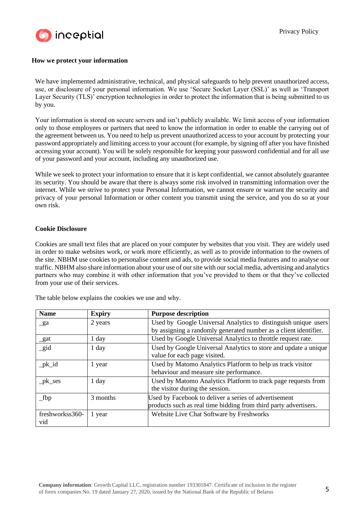

### **How we protect your information**

We have implemented administrative, technical, and physical safeguards to help prevent unauthorized access, use, or disclosure of your personal information. We use 'Secure Socket Layer (SSL)' as well as 'Transport Layer Security (TLS)' encryption technologies in order to protect the information that is being submitted to us by you.

Your information is stored on secure servers and isn't publicly available. We limit access of your information only to those employees or partners that need to know the information in order to enable the carrying out of the agreement between us. You need to help us prevent unauthorized access to your account by protecting your password appropriately and limiting access to your account (for example, by signing off after you have finished accessing your account). You will be solely responsible for keeping your password confidential and for all use of your password and your account, including any unauthorized use.

While we seek to protect your information to ensure that it is kept confidential, we cannot absolutely guarantee its security. You should be aware that there is always some risk involved in transmitting information over the internet. While we strive to protect your Personal Information, we cannot ensure or warrant the security and privacy of your personal Information or other content you transmit using the service, and you do so at your own risk.

#### **Cookie Disclosure**

Cookies are small text files that are placed on your computer by websites that you visit. They are widely used in order to make websites work, or work more efficiently, as well as to provide information to the owners of the site. NBHM use cookies to personalise content and ads, to provide social media features and to analyse our traffic. NBHM also share information about your use of our site with our social media, advertising and analytics partners who may combine it with other information that you've provided to them or that they've collected from your use of their services.

| <b>Name</b>            | <b>Expiry</b> | <b>Purpose description</b>                                                                                                |
|------------------------|---------------|---------------------------------------------------------------------------------------------------------------------------|
| $\mathbf{g}$ a         | 2 years       | Used by Google Universal Analytics to distinguish unique users                                                            |
|                        |               | by assigning a randomly generated number as a client identifier.                                                          |
| $_$                    | 1 day         | Used by Google Universal Analytics to throttle request rate.                                                              |
| $\_gid$                | 1 day         | Used by Google Universal Analytics to store and update a unique<br>value for each page visited.                           |
| $pk_id$                | 1 year        | Used by Matomo Analytics Platform to help us track visitor<br>behaviour and measure site performance.                     |
| $pk\_ses$              | $1$ day       | Used by Matomo Analytics Platform to track page requests from<br>the visitor during the session.                          |
| $_{\rm 1}$ fbp         | 3 months      | Used by Facebook to deliver a series of advertisement<br>products such as real time bidding from third party advertisers. |
| freshworkss360-<br>vid | 1 year        | Website Live Chat Software by Freshworks                                                                                  |

The table below explains the cookies we use and why.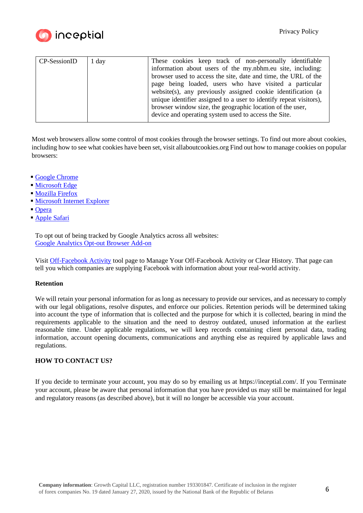

| CP-SessionID | 1 day | These cookies keep track of non-personally identifiable            |
|--------------|-------|--------------------------------------------------------------------|
|              |       | information about users of the my.nbhm.eu site, including:         |
|              |       | browser used to access the site, date and time, the URL of the     |
|              |       | page being loaded, users who have visited a particular             |
|              |       | website(s), any previously assigned cookie identification (a       |
|              |       | unique identifier assigned to a user to identify repeat visitors), |
|              |       | browser window size, the geographic location of the user,          |
|              |       | device and operating system used to access the Site.               |
|              |       |                                                                    |

Most web browsers allow some control of most cookies through the browser settings. To find out more about cookies, including how to see what cookies have been set, visit allaboutcookies.org Find out how to manage cookies on popular browsers:

- Google [Chrome](https://www.google.com/intl/el/chrome/)
- [Microsoft](https://www.microsoft.com/en-us/edge) Edge
- **[Mozilla](https://www.mozilla.org/el/firefox/new/) Firefox**
- **Internet Explorer**
- [Opera](https://www.opera.com/?utm_campaign=%2300%20-%20WW%20-%20Search%20-%20EN%20-%20Branded&gclid=Cj0KCQjwsuP5BRCoARIsAPtX_wEp7rXanTyrVDb_s_cU-AidfkSTRZw5YOsP37wqDsr8Up-QqRhp2DUaAtM0EALw_wcB)
- [Apple](https://www.apple.com/safari/) Safari

To opt out of being tracked by Google Analytics across all websites: [Google Analytics Opt-out Browser Add-on](https://tools.google.com/dlpage/gaoptout)

Visit [Off-Facebook Activity](https://www.facebook.com/off-facebook-activity) tool page to Manage Your Off-Facebook Activity or Clear History. That page can tell you which companies are supplying Facebook with information about your real-world activity.

## **Retention**

We will retain your personal information for as long as necessary to provide our services, and as necessary to comply with our legal obligations, resolve disputes, and enforce our policies. Retention periods will be determined taking into account the type of information that is collected and the purpose for which it is collected, bearing in mind the requirements applicable to the situation and the need to destroy outdated, unused information at the earliest reasonable time. Under applicable regulations, we will keep records containing client personal data, trading information, account opening documents, communications and anything else as required by applicable laws and regulations.

## **HOW TO CONTACT US?**

If you decide to terminate your account, you may do so by emailing us at [https://inceptial.com/.](https://inceptial.com/) If you Terminate your account, please be aware that personal information that you have provided us may still be maintained for legal and regulatory reasons (as described above), but it will no longer be accessible via your account.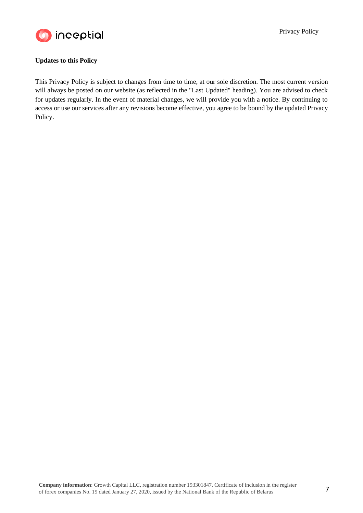

## **Updates to this Policy**

This Privacy Policy is subject to changes from time to time, at our sole discretion. The most current version will always be posted on our website (as reflected in the "Last Updated" heading). You are advised to check for updates regularly. In the event of material changes, we will provide you with a notice. By continuing to access or use our services after any revisions become effective, you agree to be bound by the updated Privacy Policy.